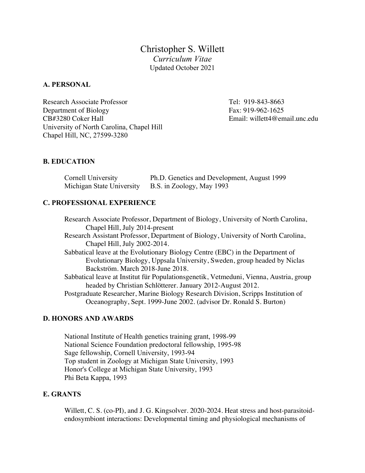Christopher S. Willett *Curriculum Vitae* Updated October 2021

#### **A. PERSONAL**

Research Associate Professor Tel: 919-843-8663 Department of Biology Fax: 919-962-1625 CB#3280 Coker Hall Email: willett4@email.unc.edu University of North Carolina, Chapel Hill Chapel Hill, NC, 27599-3280

#### **B. EDUCATION**

| Cornell University        | Ph.D. Genetics and Development, August 1999 |
|---------------------------|---------------------------------------------|
| Michigan State University | B.S. in Zoology, May 1993                   |

#### **C. PROFESSIONAL EXPERIENCE**

Research Associate Professor, Department of Biology, University of North Carolina, Chapel Hill, July 2014-present Research Assistant Professor, Department of Biology, University of North Carolina, Chapel Hill, July 2002-2014. Sabbatical leave at the Evolutionary Biology Centre (EBC) in the Department of Evolutionary Biology, Uppsala University, Sweden, group headed by Niclas Backström. March 2018-June 2018. Sabbatical leave at Institut für Populationsgenetik, Vetmeduni, Vienna, Austria, group headed by Christian Schlötterer. January 2012-August 2012. Postgraduate Researcher, Marine Biology Research Division, Scripps Institution of Oceanography, Sept. 1999-June 2002. (advisor Dr. Ronald S. Burton)

#### **D. HONORS AND AWARDS**

National Institute of Health genetics training grant, 1998-99 National Science Foundation predoctoral fellowship, 1995-98 Sage fellowship, Cornell University, 1993-94 Top student in Zoology at Michigan State University, 1993 Honor's College at Michigan State University, 1993 Phi Beta Kappa, 1993

#### **E. GRANTS**

Willett, C. S. (co-PI), and J. G. Kingsolver. 2020-2024. Heat stress and host-parasitoidendosymbiont interactions: Developmental timing and physiological mechanisms of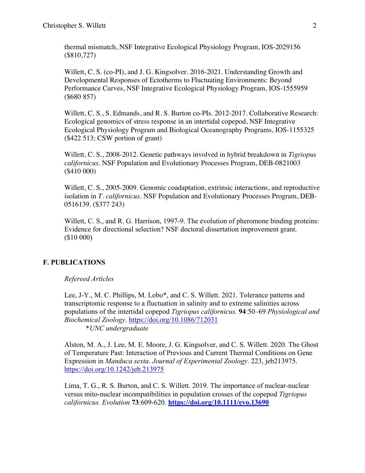thermal mismatch, NSF Integrative Ecological Physiology Program, IOS-2029156 (\$810,727)

Willett, C. S. (co-PI), and J. G. Kingsolver. 2016-2021. Understanding Growth and Developmental Responses of Ectotherms to Fluctuating Environments: Beyond Performance Curves, NSF Integrative Ecological Physiology Program, IOS-1555959 (\$680 857)

Willett, C. S., S. Edmands, and R. S. Burton co-PIs. 2012-2017. Collaborative Research: Ecological genomics of stress response in an intertidal copepod, NSF Integrative Ecological Physiology Program and Biological Oceanography Programs, IOS-1155325 (\$422 513; CSW portion of grant)

Willett, C. S., 2008-2012. Genetic pathways involved in hybrid breakdown in *Tigriopus californicus.* NSF Population and Evolutionary Processes Program, DEB-0821003 (\$410 000)

Willett, C. S., 2005-2009. Genomic coadaptation, extrinsic interactions, and reproductive isolation in *T. californicus.* NSF Population and Evolutionary Processes Program, DEB-0516139. (\$377 243)

Willett, C. S., and R. G. Harrison, 1997-9. The evolution of pheromone binding proteins: Evidence for directional selection? NSF doctoral dissertation improvement grant. (\$10 000)

# **F. PUBLICATIONS**

### *Refereed Articles*

Lee, J-Y., M. C. Phillips, M. Lobo\*, and C. S. Willett. 2021. Tolerance patterns and transcriptomic response to a fluctuation in salinity and to extreme salinities across populations of the intertidal copepod *Tigriopus californicus.* **94**:50–69 *Physiological and Biochemical Zoology*. https://doi.org/10.1086/712031

\**UNC undergraduate*

Alston, M. A., J. Lee, M. E. Moore, J. G. Kingsolver, and C. S. Willett. 2020. The Ghost of Temperature Past: Interaction of Previous and Current Thermal Conditions on Gene Expression in *Manduca sexta*. *Journal of Experimental Zoology*. 223, jeb213975. https://doi.org/10.1242/jeb.213975

Lima, T. G., R. S. Burton, and C. S. Willett. 2019. The importance of nuclear-nuclear versus mito-nuclear incompatibilities in population crosses of the copepod *Tigriopus californicus. Evolution* **73**:609-620*.* **https://doi.org/10.1111/evo.13690**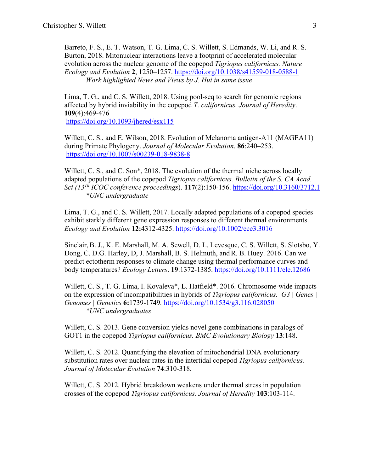Barreto, F. S., E. T. Watson, T. G. Lima, C. S. Willett, S. Edmands, W. Li, and R. S. Burton, 2018. Mitonuclear interactions leave a footprint of accelerated molecular evolution across the nuclear genome of the copepod *Tigriopus californicus. Nature Ecology and Evolution* **2**, 1250–1257. https://doi.org/10.1038/s41559-018-0588-1 *Work highlighted News and Views by J. Hui in same issue*

Lima, T. G., and C. S. Willett, 2018. Using pool-seq to search for genomic regions affected by hybrid inviability in the copepod *T. californicus. Journal of Heredity*. **109**(4):469-476

https://doi.org/10.1093/jhered/esx115

Willett, C. S., and E. Wilson, 2018. Evolution of Melanoma antigen-A11 (MAGEA11) during Primate Phylogeny. *Journal of Molecular Evolution*. **86**:240–253. https://doi.org/10.1007/s00239-018-9838-8

Willett, C. S., and C. Son\*, 2018. The evolution of the thermal niche across locally adapted populations of the copepod *Tigriopus californicus. Bulletin of the S. CA Acad. Sci (13Th ICOC conference proceedings*). **117**(2):150-156. https://doi.org/10.3160/3712.1 *\*UNC undergraduate*

Lima, T. G., and C. S. Willett, 2017. Locally adapted populations of a copepod species exhibit starkly different gene expression responses to different thermal environments. *Ecology and Evolution* **12:**4312-4325. https://doi.org/10.1002/ece3.3016

Sinclair,B. J., K. E. Marshall, M. A. Sewell, D. L. Levesque, C. S. Willett, S. Slotsbo, Y. Dong, C. D.G. Harley, D, J. Marshall, B. S. Helmuth, and R. B. Huey. 2016. Can we predict ectotherm responses to climate change using thermal performance curves and body temperatures? *Ecology Letters*. **19**:1372-1385. https://doi.org/10.1111/ele.12686

Willett, C. S., T. G. Lima, I. Kovaleva\*, L. Hatfield\*. 2016. Chromosome-wide impacts on the expression of incompatibilities in hybrids of *Tigriopus californicus. G3 | Genes | Genomes | Genetics* **6:**1739-1749*.* https://doi.org/10.1534/g3.116.028050 *\*UNC undergraduates*

Willett, C. S. 2013. Gene conversion yields novel gene combinations in paralogs of GOT1 in the copepod *Tigriopus californicus. BMC Evolutionary Biology* **13**:148.

Willett, C. S. 2012. Quantifying the elevation of mitochondrial DNA evolutionary substitution rates over nuclear rates in the intertidal copepod *Tigriopus californicus. Journal of Molecular Evolution* **74**:310-318.

Willett, C. S. 2012. Hybrid breakdown weakens under thermal stress in population crosses of the copepod *Tigriopus californicus*. *Journal of Heredity* **103**:103-114.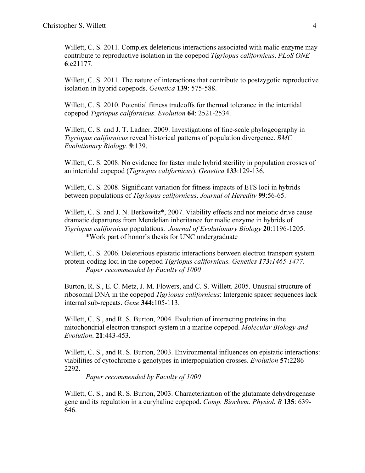Willett, C. S. 2011. Complex deleterious interactions associated with malic enzyme may contribute to reproductive isolation in the copepod *Tigriopus californicus*. *PLoS ONE* **6**:e21177.

Willett, C. S. 2011. The nature of interactions that contribute to postzygotic reproductive isolation in hybrid copepods. *Genetica* **139**: 575-588.

Willett, C. S. 2010. Potential fitness tradeoffs for thermal tolerance in the intertidal copepod *Tigriopus californicus*. *Evolution* **64**: 2521-2534.

Willett, C. S. and J. T. Ladner. 2009. Investigations of fine-scale phylogeography in *Tigriopus californicus* reveal historical patterns of population divergence. *BMC Evolutionary Biology.* **9**:139.

Willett, C. S. 2008. No evidence for faster male hybrid sterility in population crosses of an intertidal copepod (*Tigriopus californicus*). *Genetica* **133**:129-136.

Willett, C. S. 2008. Significant variation for fitness impacts of ETS loci in hybrids between populations of *Tigriopus californicus*. *Journal of Heredity* **99**:56-65.

Willett, C. S. and J. N. Berkowitz\*, 2007. Viability effects and not meiotic drive cause dramatic departures from Mendelian inheritance for malic enzyme in hybrids of *Tigriopus californicus* populations. *Journal of Evolutionary Biology* **20**:1196-1205. \*Work part of honor's thesis for UNC undergraduate

Willett, C. S. 2006. Deleterious epistatic interactions between electron transport system protein-coding loci in the copepod *Tigriopus californicus. Genetics 173:1465-1477*. *Paper recommended by Faculty of 1000*

Burton, R. S., E. C. Metz, J. M. Flowers, and C. S. Willett. 2005. Unusual structure of ribosomal DNA in the copepod *Tigriopus californicus*: Intergenic spacer sequences lack internal sub-repeats. *Gene* **344:**105-113.

Willett, C. S., and R. S. Burton, 2004. Evolution of interacting proteins in the mitochondrial electron transport system in a marine copepod. *Molecular Biology and Evolution*. **21**:443-453.

Willett, C. S., and R. S. Burton, 2003. Environmental influences on epistatic interactions: viabilities of cytochrome c genotypes in interpopulation crosses. *Evolution* **57:**2286– 2292.

*Paper recommended by Faculty of 1000*

Willett, C. S., and R. S. Burton, 2003. Characterization of the glutamate dehydrogenase gene and its regulation in a euryhaline copepod. *Comp. Biochem. Physiol. B* **135**: 639- 646.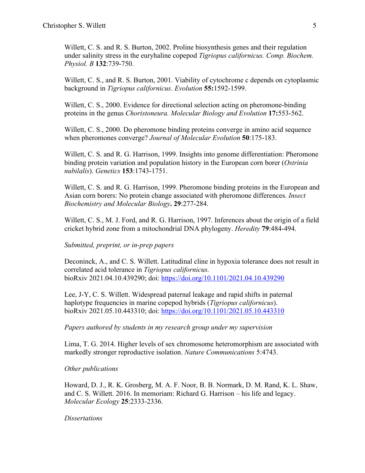Willett, C. S. and R. S. Burton, 2002. Proline biosynthesis genes and their regulation under salinity stress in the euryhaline copepod *Tigriopus californicus. Comp. Biochem. Physiol. B* **132**:739-750.

Willett, C. S., and R. S. Burton, 2001. Viability of cytochrome c depends on cytoplasmic background in *Tigriopus californicus*. *Evolution* **55:**1592-1599.

Willett, C. S., 2000. Evidence for directional selection acting on pheromone-binding proteins in the genus *Choristoneura. Molecular Biology and Evolution* **17:**553-562.

Willett, C. S., 2000. Do pheromone binding proteins converge in amino acid sequence when pheromones converge? *Journal of Molecular Evolution* **50**:175-183.

Willett, C. S. and R. G. Harrison, 1999. Insights into genome differentiation: Pheromone binding protein variation and population history in the European corn borer (*Ostrinia nubilalis*). *Genetics* **153**:1743-1751.

Willett, C. S. and R. G. Harrison, 1999. Pheromone binding proteins in the European and Asian corn borers: No protein change associated with pheromone differences. *Insect Biochemistry and Molecular Biology***. 29**:277-284.

Willett, C. S., M. J. Ford, and R. G. Harrison, 1997. Inferences about the origin of a field cricket hybrid zone from a mitochondrial DNA phylogeny. *Heredity* **79**:484-494.

### *Submitted, preprint, or in-prep papers*

Deconinck, A., and C. S. Willett. Latitudinal cline in hypoxia tolerance does not result in correlated acid tolerance in *Tigriopus californicus.*  bioRxiv 2021.04.10.439290; doi: https://doi.org/10.1101/2021.04.10.439290

Lee, J-Y, C. S. Willett. Widespread paternal leakage and rapid shifts in paternal haplotype frequencies in marine copepod hybrids (*Tigriopus californicus*). bioRxiv 2021.05.10.443310; doi: https://doi.org/10.1101/2021.05.10.443310

*Papers authored by students in my research group under my supervision*

Lima, T. G. 2014. Higher levels of sex chromosome heteromorphism are associated with markedly stronger reproductive isolation. *Nature Communications* 5:4743.

### *Other publications*

Howard, D. J., R. K. Grosberg, M. A. F. Noor, B. B. Normark, D. M. Rand, K. L. Shaw, and C. S. Willett. 2016. In memoriam: Richard G. Harrison – his life and legacy. *Molecular Ecology* **25**:2333-2336.

### *Dissertations*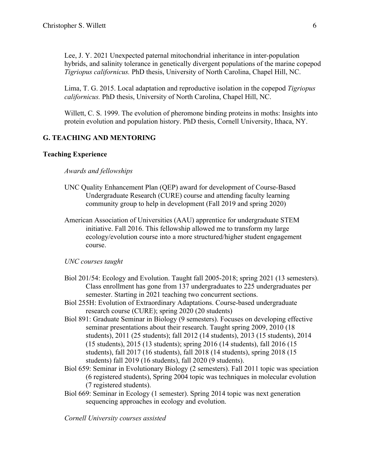Lee, J. Y. 2021 Unexpected paternal mitochondrial inheritance in inter-population hybrids, and salinity tolerance in genetically divergent populations of the marine copepod *Tigriopus californicus.* PhD thesis, University of North Carolina, Chapel Hill, NC.

Lima, T. G. 2015. Local adaptation and reproductive isolation in the copepod *Tigriopus californicus.* PhD thesis, University of North Carolina, Chapel Hill, NC.

Willett, C. S. 1999. The evolution of pheromone binding proteins in moths: Insights into protein evolution and population history. PhD thesis, Cornell University, Ithaca, NY.

## **G. TEACHING AND MENTORING**

#### **Teaching Experience**

### *Awards and fellowships*

- UNC Quality Enhancement Plan (QEP) award for development of Course-Based Undergraduate Research (CURE) course and attending faculty learning community group to help in development (Fall 2019 and spring 2020)
- American Association of Universities (AAU) apprentice for undergraduate STEM initiative. Fall 2016. This fellowship allowed me to transform my large ecology/evolution course into a more structured/higher student engagement course.

#### *UNC courses taught*

- Biol 201/54: Ecology and Evolution. Taught fall 2005-2018; spring 2021 (13 semesters). Class enrollment has gone from 137 undergraduates to 225 undergraduates per semester. Starting in 2021 teaching two concurrent sections.
- Biol 255H: Evolution of Extraordinary Adaptations. Course-based undergraduate research course (CURE); spring 2020 (20 students)
- Biol 891: Graduate Seminar in Biology (9 semesters). Focuses on developing effective seminar presentations about their research. Taught spring 2009, 2010 (18 students), 2011 (25 students); fall 2012 (14 students), 2013 (15 students), 2014 (15 students), 2015 (13 students); spring 2016 (14 students), fall 2016 (15 students), fall 2017 (16 students), fall 2018 (14 students), spring 2018 (15 students) fall 2019 (16 students), fall 2020 (9 students).
- Biol 659: Seminar in Evolutionary Biology (2 semesters). Fall 2011 topic was speciation (6 registered students), Spring 2004 topic was techniques in molecular evolution (7 registered students).
- Biol 669: Seminar in Ecology (1 semester). Spring 2014 topic was next generation sequencing approaches in ecology and evolution.

*Cornell University courses assisted*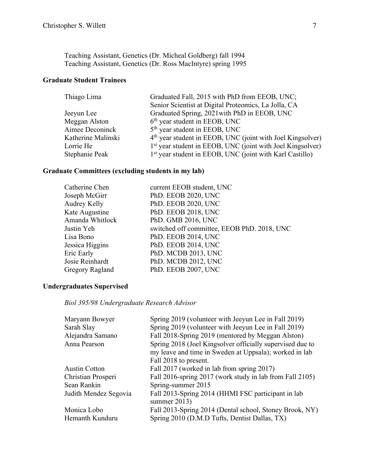Teaching Assistant, Genetics (Dr. Micheal Goldberg) fall 1994 Teaching Assistant, Genetics (Dr. Ross MacIntyre) spring 1995

# **Graduate Student Trainees**

| Graduated Fall, 2015 with PhD from EEOB, UNC;                          |  |
|------------------------------------------------------------------------|--|
| Senior Scientist at Digital Proteomics, La Jolla, CA                   |  |
| Graduated Spring, 2021 with PhD in EEOB, UNC                           |  |
| $6th$ year student in EEOB, UNC                                        |  |
| 5 <sup>th</sup> year student in EEOB, UNC                              |  |
| 4 <sup>th</sup> year student in EEOB, UNC (joint with Joel Kingsolver) |  |
| 1 <sup>st</sup> year student in EEOB, UNC (joint with Joel Kingsolver) |  |
| 1 <sup>st</sup> year student in EEOB, UNC (joint with Karl Castillo)   |  |
|                                                                        |  |

# **Graduate Committees (excluding students in my lab)**

| Catherine Chen  | current EEOB student, UNC                   |
|-----------------|---------------------------------------------|
| Joseph McGirr   | PhD. EEOB 2020, UNC                         |
| Audrey Kelly    | PhD. EEOB 2020, UNC                         |
| Kate Augustine  | PhD. EEOB 2018, UNC                         |
| Amanda Whitlock | PhD. GMB 2016, UNC                          |
| Justin Yeh      | switched off committee, EEOB PhD. 2018, UNC |
| Lisa Bono       | PhD. EEOB 2014, UNC                         |
| Jessica Higgins | PhD. EEOB 2014, UNC                         |
| Eric Early      | PhD. MCDB 2013, UNC                         |
| Josie Reinhardt | PhD. MCDB 2012, UNC                         |
| Gregory Ragland | PhD. EEOB 2007, UNC                         |

## **Undergraduates Supervised**

*Biol 395/98 Undergraduate Research Advisor*

| Maryann Bowyer        | Spring 2019 (volunteer with Jeeyun Lee in Fall 2019)                  |  |
|-----------------------|-----------------------------------------------------------------------|--|
| Sarah Slay            | Spring 2019 (volunteer with Jeeyun Lee in Fall 2019)                  |  |
| Alejandra Samano      | Fall 2018-Spring 2019 (mentored by Meggan Alston)                     |  |
| Anna Pearson          | Spring 2018 (Joel Kingsolver officially supervised due to             |  |
|                       | my leave and time in Sweden at Uppsala); worked in lab                |  |
|                       | Fall 2018 to present.                                                 |  |
| <b>Austin Cotton</b>  | Fall 2017 (worked in lab from spring 2017)                            |  |
| Christian Prosperi    | Fall 2016-spring 2017 (work study in lab from Fall 2105)              |  |
| Sean Rankin           | Spring-summer 2015                                                    |  |
| Judith Mendez Segovia | Fall 2013-Spring 2014 (HHMI FSC participant in lab<br>summer $2013$ ) |  |
| Monica Lobo           | Fall 2013-Spring 2014 (Dental school, Stoney Brook, NY)               |  |
| Hemanth Kunduru       | Spring 2010 (D.M.D Tufts, Dentist Dallas, TX)                         |  |
|                       |                                                                       |  |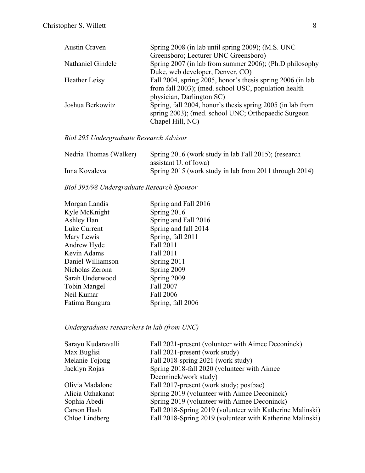| <b>Austin Craven</b> | Spring 2008 (in lab until spring 2009); (M.S. UNC           |
|----------------------|-------------------------------------------------------------|
|                      | Greensboro; Lecturer UNC Greensboro)                        |
| Nathaniel Gindele    | Spring 2007 (in lab from summer 2006); (Ph.D philosophy     |
|                      | Duke, web developer, Denver, CO)                            |
| Heather Leisy        | Fall 2004, spring 2005, honor's thesis spring 2006 (in lab) |
|                      | from fall 2003); (med. school USC, population health        |
|                      | physician, Darlington SC)                                   |
| Joshua Berkowitz     | Spring, fall 2004, honor's thesis spring 2005 (in lab from  |
|                      | spring 2003); (med. school UNC; Orthopaedic Surgeon         |
|                      | Chapel Hill, NC)                                            |

*Biol 295 Undergraduate Research Advisor*

| Nedria Thomas (Walker) | Spring 2016 (work study in lab Fall 2015); (research   |
|------------------------|--------------------------------------------------------|
|                        | assistant U. of Iowa)                                  |
| Inna Kovaleva          | Spring 2015 (work study in lab from 2011 through 2014) |

*Biol 395/98 Undergraduate Research Sponsor*

| Morgan Landis     | Spring and Fall 2016 |
|-------------------|----------------------|
| Kyle McKnight     | Spring 2016          |
| Ashley Han        | Spring and Fall 2016 |
| Luke Current      | Spring and fall 2014 |
| Mary Lewis        | Spring, fall 2011    |
| Andrew Hyde       | Fall 2011            |
| Kevin Adams       | Fall 2011            |
| Daniel Williamson | Spring 2011          |
| Nicholas Zerona   | Spring 2009          |
| Sarah Underwood   | Spring 2009          |
| Tobin Mangel      | Fall 2007            |
| Neil Kumar        | Fall 2006            |
| Fatima Bangura    | Spring, fall 2006    |
|                   |                      |

# *Undergraduate researchers in lab (from UNC)*

| Sarayu Kudaravalli | Fall 2021-present (volunteer with Aimee Deconinck)        |
|--------------------|-----------------------------------------------------------|
| Max Buglisi        | Fall 2021-present (work study)                            |
| Melanie Tojong     | Fall 2018-spring 2021 (work study)                        |
| Jacklyn Rojas      | Spring 2018-fall 2020 (volunteer with Aimee               |
|                    | Deconinck/work study)                                     |
| Olivia Madalone    | Fall 2017-present (work study; postbac)                   |
| Alicia Ozhakanat   | Spring 2019 (volunteer with Aimee Deconinck)              |
| Sophia Abedi       | Spring 2019 (volunteer with Aimee Deconinck)              |
| Carson Hash        | Fall 2018-Spring 2019 (volunteer with Katherine Malinski) |
| Chloe Lindberg     | Fall 2018-Spring 2019 (volunteer with Katherine Malinski) |
|                    |                                                           |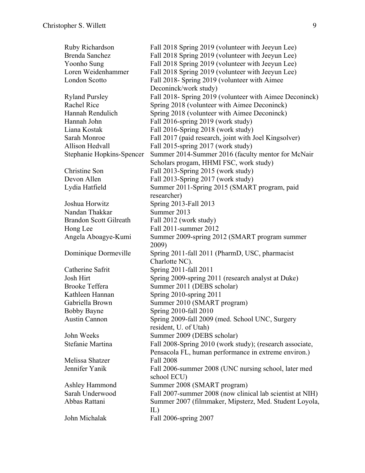| Ruby Richardson               | Fall 2018 Spring 2019 (volunteer with Jeeyun Lee)                |
|-------------------------------|------------------------------------------------------------------|
| Brenda Sanchez                | Fall 2018 Spring 2019 (volunteer with Jeeyun Lee)                |
| Yoonho Sung                   | Fall 2018 Spring 2019 (volunteer with Jeeyun Lee)                |
| Loren Weidenhammer            | Fall 2018 Spring 2019 (volunteer with Jeeyun Lee)                |
| London Scotto                 | Fall 2018- Spring 2019 (volunteer with Aimee                     |
|                               | Deconinck/work study)                                            |
| <b>Ryland Pursley</b>         | Fall 2018- Spring 2019 (volunteer with Aimee Deconinck)          |
| <b>Rachel Rice</b>            | Spring 2018 (volunteer with Aimee Deconinck)                     |
| Hannah Rendulich              | Spring 2018 (volunteer with Aimee Deconinck)                     |
| Hannah John                   | Fall 2016-spring 2019 (work study)                               |
| Liana Kostak                  | Fall 2016-Spring 2018 (work study)                               |
| Sarah Monroe                  | Fall 2017 (paid research, joint with Joel Kingsolver)            |
| Allison Hedvall               | Fall 2015-spring 2017 (work study)                               |
| Stephanie Hopkins-Spencer     | Summer 2014-Summer 2016 (faculty mentor for McNair               |
|                               | Scholars progam, HHMI FSC, work study)                           |
| Christine Son                 | Fall 2013-Spring 2015 (work study)                               |
| Devon Allen                   | Fall 2013-Spring 2017 (work study)                               |
| Lydia Hatfield                | Summer 2011-Spring 2015 (SMART program, paid                     |
|                               | researcher)                                                      |
| Joshua Horwitz                | Spring 2013-Fall 2013                                            |
| Nandan Thakkar                | Summer 2013                                                      |
| <b>Brandon Scott Gilreath</b> | Fall 2012 (work study)                                           |
| Hong Lee                      | Fall 2011-summer 2012                                            |
| Angela Aboagye-Kumi           | Summer 2009-spring 2012 (SMART program summer<br>2009)           |
| Dominique Dormeville          | Spring 2011-fall 2011 (PharmD, USC, pharmacist<br>Charlotte NC). |
| Catherine Safrit              | Spring 2011-fall 2011                                            |
| Josh Hirt                     | Spring 2009-spring 2011 (research analyst at Duke)               |
| Brooke Teffera                | Summer 2011 (DEBS scholar)                                       |
| Kathleen Hannan               | Spring 2010-spring 2011                                          |
| Gabriella Brown               | Summer 2010 (SMART program)                                      |
| Bobby Bayne                   | Spring 2010-fall 2010                                            |
| Austin Cannon                 | Spring 2009-fall 2009 (med. School UNC, Surgery                  |
|                               | resident, U. of Utah)                                            |
| John Weeks                    | Summer 2009 (DEBS scholar)                                       |
| Stefanie Martina              | Fall 2008-Spring 2010 (work study); (research associate,         |
|                               | Pensacola FL, human performance in extreme environ.)             |
| Melissa Shatzer               | <b>Fall 2008</b>                                                 |
| Jennifer Yanik                | Fall 2006-summer 2008 (UNC nursing school, later med             |
|                               | school ECU)                                                      |
| Ashley Hammond                | Summer 2008 (SMART program)                                      |
| Sarah Underwood               | Fall 2007-summer 2008 (now clinical lab scientist at NIH)        |
| Abbas Rattani                 | Summer 2007 (filmmaker, Mipsterz, Med. Student Loyola,<br>IL)    |
| John Michalak                 | Fall 2006-spring 2007                                            |
|                               |                                                                  |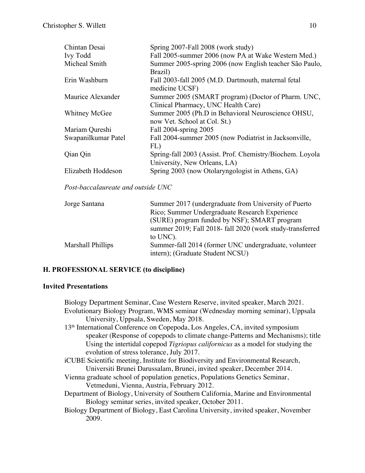| Chintan Desai       | Spring 2007-Fall 2008 (work study)                                                 |
|---------------------|------------------------------------------------------------------------------------|
| <b>Ivy Todd</b>     | Fall 2005-summer 2006 (now PA at Wake Western Med.)                                |
| Micheal Smith       | Summer 2005-spring 2006 (now English teacher São Paulo,<br>Brazil)                 |
| Erin Washburn       | Fall 2003-fall 2005 (M.D. Dartmouth, maternal fetal<br>medicine UCSF)              |
| Maurice Alexander   | Summer 2005 (SMART program) (Doctor of Pharm. UNC,                                 |
|                     | Clinical Pharmacy, UNC Health Care)                                                |
| Whitney McGee       | Summer 2005 (Ph.D in Behavioral Neuroscience OHSU,<br>now Vet. School at Col. St.) |
| Mariam Qureshi      | Fall 2004-spring 2005                                                              |
| Swapanilkumar Patel | Fall 2004-summer 2005 (now Podiatrist in Jacksonville,                             |
|                     | FL)                                                                                |
| Qian Qin            | Spring-fall 2003 (Assist. Prof. Chemistry/Biochem. Loyola                          |
|                     | University, New Orleans, LA)                                                       |
| Elizabeth Hoddeson  | Spring 2003 (now Otolaryngologist in Athens, GA)                                   |

*Post-baccalaureate and outside UNC*

| Summer 2017 (undergraduate from University of Puerto                                      |
|-------------------------------------------------------------------------------------------|
| Rico; Summer Undergraduate Research Experience                                            |
| (SURE) program funded by NSF); SMART program                                              |
| summer 2019; Fall 2018- fall 2020 (work study-transferred                                 |
| to UNC).                                                                                  |
| Summer-fall 2014 (former UNC undergraduate, volunteer<br>intern); (Graduate Student NCSU) |
|                                                                                           |

# **H. PROFESSIONAL SERVICE (to discipline)**

### **Invited Presentations**

Biology Department Seminar, Case Western Reserve, invited speaker, March 2021. Evolutionary Biology Program, WMS seminar (Wednesday morning seminar), Uppsala University, Uppsala, Sweden, May 2018. 13th International Conference on Copepoda, Los Angeles, CA, invited symposium speaker (Response of copepods to climate change-Patterns and Mechanisms); title Using the intertidal copepod *Tigriopus californicus* as a model for studying the evolution of stress tolerance, July 2017. iCUBE Scientific meeting, Institute for Biodiversity and Environmental Research, Universiti Brunei Darussalam, Brunei, invited speaker, December 2014. Vienna graduate school of population genetics, Populations Genetics Seminar, Vetmeduni, Vienna, Austria, February 2012. Department of Biology, University of Southern California, Marine and Environmental Biology seminar series, invited speaker, October 2011. Biology Department of Biology, East Carolina University, invited speaker, November 2009.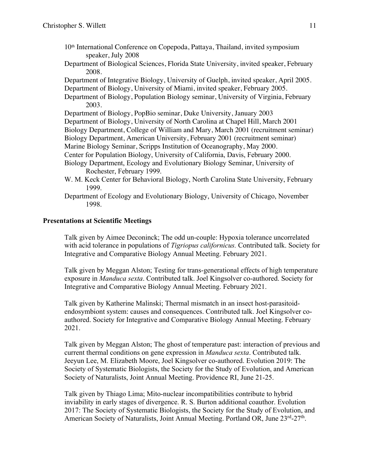- 10th International Conference on Copepoda, Pattaya, Thailand, invited symposium speaker, July 2008
- Department of Biological Sciences, Florida State University, invited speaker, February 2008.

Department of Integrative Biology, University of Guelph, invited speaker, April 2005. Department of Biology, University of Miami, invited speaker, February 2005.

Department of Biology, Population Biology seminar, University of Virginia, February 2003.

Department of Biology, PopBio seminar, Duke University, January 2003 Department of Biology, University of North Carolina at Chapel Hill, March 2001 Biology Department, College of William and Mary, March 2001 (recruitment seminar) Biology Department, American University, February 2001 (recruitment seminar) Marine Biology Seminar, Scripps Institution of Oceanography, May 2000. Center for Population Biology, University of California, Davis, February 2000. Biology Department, Ecology and Evolutionary Biology Seminar, University of

Rochester, February 1999.

- W. M. Keck Center for Behavioral Biology, North Carolina State University, February 1999.
- Department of Ecology and Evolutionary Biology, University of Chicago, November 1998.

## **Presentations at Scientific Meetings**

Talk given by Aimee Deconinck; The odd un-couple: Hypoxia tolerance uncorrelated with acid tolerance in populations of *Tigriopus californicus.* Contributed talk. Society for Integrative and Comparative Biology Annual Meeting. February 2021.

Talk given by Meggan Alston; Testing for trans-generational effects of high temperature exposure in *Manduca sexta*. Contributed talk. Joel Kingsolver co-authored. Society for Integrative and Comparative Biology Annual Meeting. February 2021.

Talk given by Katherine Malinski; Thermal mismatch in an insect host-parasitoidendosymbiont system: causes and consequences. Contributed talk. Joel Kingsolver coauthored. Society for Integrative and Comparative Biology Annual Meeting. February 2021.

Talk given by Meggan Alston; The ghost of temperature past: interaction of previous and current thermal conditions on gene expression in *Manduca sexta*. Contributed talk. Jeeyun Lee, M. Elizabeth Moore, Joel Kingsolver co-authored. Evolution 2019: The Society of Systematic Biologists, the Society for the Study of Evolution, and American Society of Naturalists, Joint Annual Meeting. Providence RI, June 21-25.

Talk given by Thiago Lima; Mito-nuclear incompatibilities contribute to hybrid inviability in early stages of divergence. R. S. Burton additional coauthor. Evolution 2017: The Society of Systematic Biologists, the Society for the Study of Evolution, and American Society of Naturalists, Joint Annual Meeting. Portland OR, June 23<sup>rd</sup>-27<sup>th</sup>.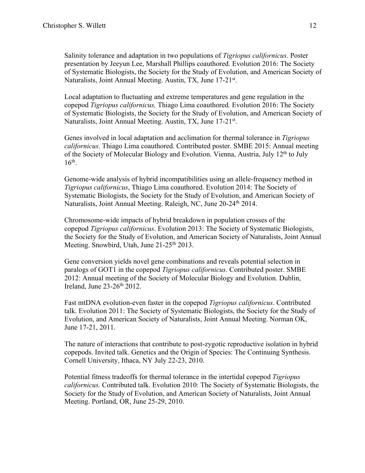Salinity tolerance and adaptation in two populations of *Tigriopus californicus*. Poster presentation by Jeeyun Lee, Marshall Phillips coauthored. Evolution 2016: The Society of Systematic Biologists, the Society for the Study of Evolution, and American Society of Naturalists, Joint Annual Meeting. Austin, TX, June 17-21<sup>st</sup>.

Local adaptation to fluctuating and extreme temperatures and gene regulation in the copepod *Tigriopus californicus,* Thiago Lima coauthored*.* Evolution 2016: The Society of Systematic Biologists, the Society for the Study of Evolution, and American Society of Naturalists, Joint Annual Meeting. Austin, TX, June 17-21<sup>st</sup>.

Genes involved in local adaptation and acclimation for thermal tolerance in *Tigriopus californicus*. Thiago Lima coauthored. Contributed poster. SMBE 2015: Annual meeting of the Society of Molecular Biology and Evolution. Vienna, Austria, July 12<sup>th</sup> to July  $16<sup>th</sup>$ .

Genome-wide analysis of hybrid incompatibilities using an allele-frequency method in *Tigriopus californicus*, Thiago Lima coauthored. Evolution 2014: The Society of Systematic Biologists, the Society for the Study of Evolution, and American Society of Naturalists, Joint Annual Meeting. Raleigh, NC, June 20-24<sup>th</sup> 2014.

Chromosome-wide impacts of hybrid breakdown in population crosses of the copepod *Tigriopus californicus*. Evolution 2013: The Society of Systematic Biologists, the Society for the Study of Evolution, and American Society of Naturalists, Joint Annual Meeting. Snowbird, Utah, June 21-25<sup>th</sup> 2013.

Gene conversion yields novel gene combinations and reveals potential selection in paralogs of GOT1 in the copepod *Tigriopus californicus.* Contributed poster. SMBE 2012: Annual meeting of the Society of Molecular Biology and Evolution. Dublin, Ireland, June  $23-26$ <sup>th</sup> 2012.

Fast mtDNA evolution-even faster in the copepod *Tigriopus californicus*. Contributed talk. Evolution 2011: The Society of Systematic Biologists, the Society for the Study of Evolution, and American Society of Naturalists, Joint Annual Meeting. Norman OK, June 17-21, 2011.

The nature of interactions that contribute to post-zygotic reproductive isolation in hybrid copepods. Invited talk. Genetics and the Origin of Species: The Continuing Synthesis. Cornell University, Ithaca, NY July 22-23, 2010.

Potential fitness tradeoffs for thermal tolerance in the intertidal copepod *Tigriopus californicus.* Contributed talk. Evolution 2010: The Society of Systematic Biologists, the Society for the Study of Evolution, and American Society of Naturalists, Joint Annual Meeting. Portland, OR, June 25-29, 2010.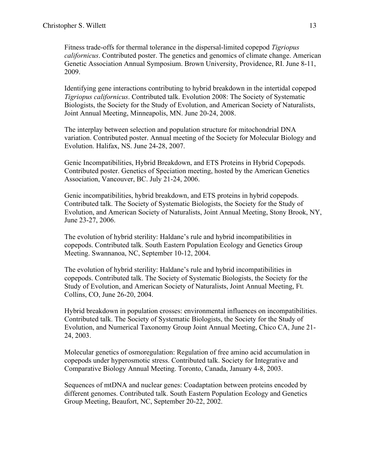Fitness trade-offs for thermal tolerance in the dispersal-limited copepod *Tigriopus californicus*. Contributed poster. The genetics and genomics of climate change. American Genetic Association Annual Symposium. Brown University, Providence, RI. June 8-11, 2009.

Identifying gene interactions contributing to hybrid breakdown in the intertidal copepod *Tigriopus californicus*. Contributed talk. Evolution 2008: The Society of Systematic Biologists, the Society for the Study of Evolution, and American Society of Naturalists, Joint Annual Meeting, Minneapolis, MN. June 20-24, 2008.

The interplay between selection and population structure for mitochondrial DNA variation. Contributed poster. Annual meeting of the Society for Molecular Biology and Evolution. Halifax, NS. June 24-28, 2007.

Genic Incompatibilities, Hybrid Breakdown, and ETS Proteins in Hybrid Copepods. Contributed poster. Genetics of Speciation meeting, hosted by the American Genetics Association, Vancouver, BC. July 21-24, 2006.

Genic incompatibilities, hybrid breakdown, and ETS proteins in hybrid copepods. Contributed talk. The Society of Systematic Biologists, the Society for the Study of Evolution, and American Society of Naturalists, Joint Annual Meeting, Stony Brook, NY, June 23-27, 2006.

The evolution of hybrid sterility: Haldane's rule and hybrid incompatibilities in copepods. Contributed talk. South Eastern Population Ecology and Genetics Group Meeting. Swannanoa, NC, September 10-12, 2004.

The evolution of hybrid sterility: Haldane's rule and hybrid incompatibilities in copepods. Contributed talk. The Society of Systematic Biologists, the Society for the Study of Evolution, and American Society of Naturalists, Joint Annual Meeting, Ft. Collins, CO, June 26-20, 2004.

Hybrid breakdown in population crosses: environmental influences on incompatibilities. Contributed talk. The Society of Systematic Biologists, the Society for the Study of Evolution, and Numerical Taxonomy Group Joint Annual Meeting, Chico CA, June 21- 24, 2003.

Molecular genetics of osmoregulation: Regulation of free amino acid accumulation in copepods under hyperosmotic stress. Contributed talk. Society for Integrative and Comparative Biology Annual Meeting. Toronto, Canada, January 4-8, 2003.

Sequences of mtDNA and nuclear genes: Coadaptation between proteins encoded by different genomes. Contributed talk. South Eastern Population Ecology and Genetics Group Meeting, Beaufort, NC, September 20-22, 2002.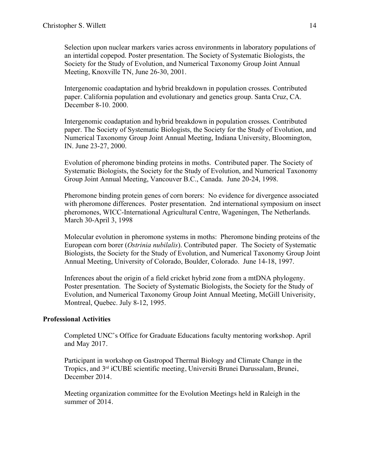Selection upon nuclear markers varies across environments in laboratory populations of an intertidal copepod. Poster presentation. The Society of Systematic Biologists, the Society for the Study of Evolution, and Numerical Taxonomy Group Joint Annual Meeting, Knoxville TN, June 26-30, 2001.

Intergenomic coadaptation and hybrid breakdown in population crosses. Contributed paper. California population and evolutionary and genetics group. Santa Cruz, CA. December 8-10. 2000.

Intergenomic coadaptation and hybrid breakdown in population crosses. Contributed paper. The Society of Systematic Biologists, the Society for the Study of Evolution, and Numerical Taxonomy Group Joint Annual Meeting, Indiana University, Bloomington, IN. June 23-27, 2000.

Evolution of pheromone binding proteins in moths. Contributed paper. The Society of Systematic Biologists, the Society for the Study of Evolution, and Numerical Taxonomy Group Joint Annual Meeting, Vancouver B.C., Canada. June 20-24, 1998.

Pheromone binding protein genes of corn borers: No evidence for divergence associated with pheromone differences. Poster presentation. 2nd international symposium on insect pheromones, WICC-International Agricultural Centre, Wageningen, The Netherlands. March 30-April 3, 1998

Molecular evolution in pheromone systems in moths: Pheromone binding proteins of the European corn borer (*Ostrinia nubilalis*). Contributed paper. The Society of Systematic Biologists, the Society for the Study of Evolution, and Numerical Taxonomy Group Joint Annual Meeting, University of Colorado, Boulder, Colorado. June 14-18, 1997.

Inferences about the origin of a field cricket hybrid zone from a mtDNA phylogeny. Poster presentation. The Society of Systematic Biologists, the Society for the Study of Evolution, and Numerical Taxonomy Group Joint Annual Meeting, McGill Univerisity, Montreal, Quebec. July 8-12, 1995.

# **Professional Activities**

Completed UNC's Office for Graduate Educations faculty mentoring workshop. April and May 2017.

Participant in workshop on Gastropod Thermal Biology and Climate Change in the Tropics, and 3rd iCUBE scientific meeting, Universiti Brunei Darussalam, Brunei, December 2014.

Meeting organization committee for the Evolution Meetings held in Raleigh in the summer of 2014.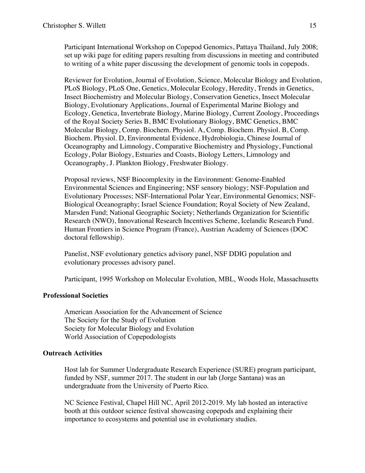Participant International Workshop on Copepod Genomics, Pattaya Thailand, July 2008; set up wiki page for editing papers resulting from discussions in meeting and contributed to writing of a white paper discussing the development of genomic tools in copepods.

Reviewer for Evolution, Journal of Evolution, Science, Molecular Biology and Evolution, PLoS Biology, PLoS One, Genetics, Molecular Ecology, Heredity, Trends in Genetics, Insect Biochemistry and Molecular Biology, Conservation Genetics, Insect Molecular Biology, Evolutionary Applications, Journal of Experimental Marine Biology and Ecology, Genetica, Invertebrate Biology, Marine Biology, Current Zoology, Proceedings of the Royal Society Series B, BMC Evolutionary Biology, BMC Genetics, BMC Molecular Biology, Comp. Biochem. Physiol. A, Comp. Biochem. Physiol. B, Comp. Biochem. Physiol. D, Environmental Evidence, Hydrobiologia, Chinese Journal of Oceanography and Limnology, Comparative Biochemistry and Physiology, Functional Ecology, Polar Biology, Estuaries and Coasts, Biology Letters, Limnology and Oceanography, J. Plankton Biology, Freshwater Biology.

Proposal reviews, NSF Biocomplexity in the Environment: Genome-Enabled Environmental Sciences and Engineering; NSF sensory biology; NSF-Population and Evolutionary Processes; NSF-International Polar Year, Environmental Genomics; NSF-Biological Oceanography; Israel Science Foundation; Royal Society of New Zealand, Marsden Fund; National Geographic Society; Netherlands Organization for Scientific Research (NWO), Innovational Research Incentives Scheme, Icelandic Research Fund. Human Frontiers in Science Program (France), Austrian Academy of Sciences (DOC doctoral fellowship).

Panelist, NSF evolutionary genetics advisory panel, NSF DDIG population and evolutionary processes advisory panel.

Participant, 1995 Workshop on Molecular Evolution, MBL, Woods Hole, Massachusetts

### **Professional Societies**

American Association for the Advancement of Science The Society for the Study of Evolution Society for Molecular Biology and Evolution World Association of Copepodologists

### **Outreach Activities**

Host lab for Summer Undergraduate Research Experience (SURE) program participant, funded by NSF, summer 2017. The student in our lab (Jorge Santana) was an undergraduate from the University of Puerto Rico.

NC Science Festival, Chapel Hill NC, April 2012-2019. My lab hosted an interactive booth at this outdoor science festival showcasing copepods and explaining their importance to ecosystems and potential use in evolutionary studies.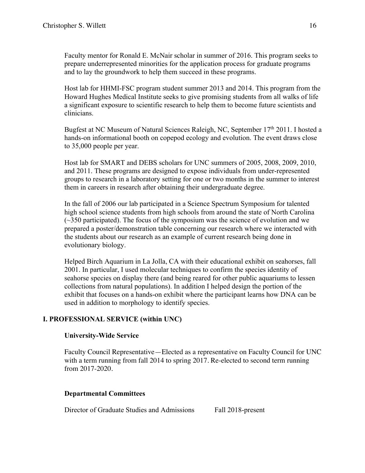Faculty mentor for Ronald E. McNair scholar in summer of 2016. This program seeks to prepare underrepresented minorities for the application process for graduate programs and to lay the groundwork to help them succeed in these programs.

Host lab for HHMI-FSC program student summer 2013 and 2014. This program from the Howard Hughes Medical Institute seeks to give promising students from all walks of life a significant exposure to scientific research to help them to become future scientists and clinicians.

Bugfest at NC Museum of Natural Sciences Raleigh, NC, September 17<sup>th</sup> 2011. I hosted a hands-on informational booth on copepod ecology and evolution. The event draws close to 35,000 people per year.

Host lab for SMART and DEBS scholars for UNC summers of 2005, 2008, 2009, 2010, and 2011. These programs are designed to expose individuals from under-represented groups to research in a laboratory setting for one or two months in the summer to interest them in careers in research after obtaining their undergraduate degree.

In the fall of 2006 our lab participated in a Science Spectrum Symposium for talented high school science students from high schools from around the state of North Carolina  $(\sim 350$  participated). The focus of the symposium was the science of evolution and we prepared a poster/demonstration table concerning our research where we interacted with the students about our research as an example of current research being done in evolutionary biology.

Helped Birch Aquarium in La Jolla, CA with their educational exhibit on seahorses, fall 2001. In particular, I used molecular techniques to confirm the species identity of seahorse species on display there (and being reared for other public aquariums to lessen collections from natural populations). In addition I helped design the portion of the exhibit that focuses on a hands-on exhibit where the participant learns how DNA can be used in addition to morphology to identify species.

# **I. PROFESSIONAL SERVICE (within UNC)**

# **University-Wide Service**

Faculty Council Representative—Elected as a representative on Faculty Council for UNC with a term running from fall 2014 to spring 2017. Re-elected to second term running from 2017-2020.

# **Departmental Committees**

Director of Graduate Studies and Admissions Fall 2018-present